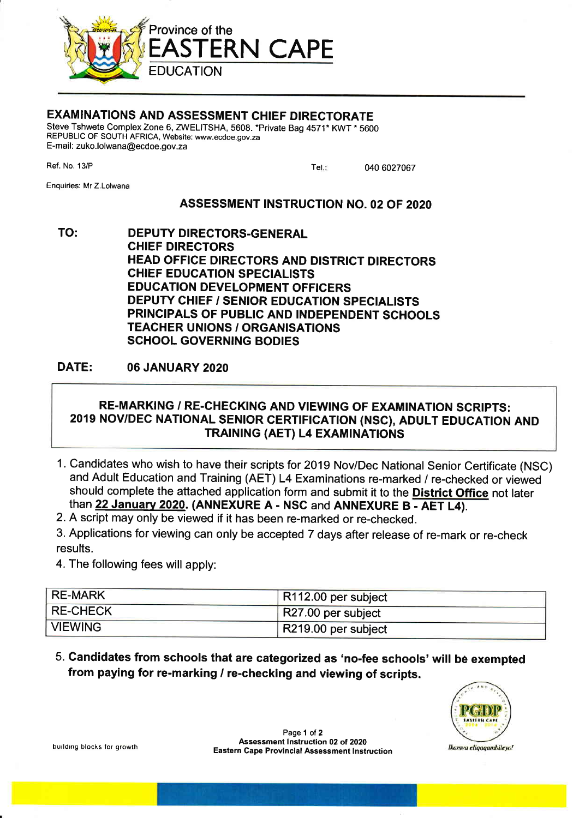

# EXAMINATIONS AND ASSESSMENT CHIEF DIRECTORATE

Steve Tshwete Complex Zone 6, ZWELITSHA, 5608. \*Private Bag 4571\* KWT \* 5600 REPUBLIC OF SOUTH AFRICA, Website: www.ecdoe.gov.za E-mail: zuko.lolwana@ecdoe.gov.za

Ref. No. 13/P

040 6027067 Tel.:

Enquiries: Mr Z.Lolwana

# ASSESSMENT INSTRUCTION NO. 02 OF 2O2O

TO: DEPUTY DIRECTORS-GENERAL CHIEF DIRECTORS HEAD OFFICE DIRECTORS AND DISTRICT DIRECTORS CHIEF EDUCATION SPECIALISTS EDUCATION DEVELOPMENT OFFICERS DEPUTY CHIEF / SENIOR EDUCATION SPECIALISTS PRINCIPALS OF PUBLIC AND INDEPENDENT SCHOOLS TEAGHER UNIONS / ORGANISATIONS SCHOOL GOVERNING BODIES

# DATE: 06 JANUARY 2O2O

# RE.MARKING / RE.CHECKING AND VIEWING OF EXAMINATION SCRIPTS: 2019 NOV/DEC NATIONAL SENIOR CERTIFICATION (NSC), ADULT EDUCATION AND TRAINING (AET) L4 EXAMINATIONS

- 1. Candidates who wish to have their scripts for 2019 Nov/Dec National Senior Certificate (NSC) and Adult Education and Training (AET) L4 Examinations re-marked / re-checked or viewed should complete the attached application form and submit it to the **District Office** not later than 22 January 2020. (ANNEXURE A - NSC and ANNEXURE B - AET L4).
- 2. A script may only be viewed if it has been re-marked or re-checked.
- 3. Applications for viewing can only be accepted 7 days after release of re-mark or re-check results.
- 4. The following fees will apply:

| RE-MARK        | R112.00 per subject           |
|----------------|-------------------------------|
| RE-CHECK       | $\sqrt{R}$ R27.00 per subject |
| <b>VIEWING</b> | R219.00 per subject           |

5. Candidates from schools that are categorized as 'no-fee schools'wilt be exempted from paying for re-marking / re-checking and viewing of scripts.



building blocks for growth

Page 1 of 2 Assessment Instruction 02 of 2020 Eastern Cape Provincial Assessment lnstruction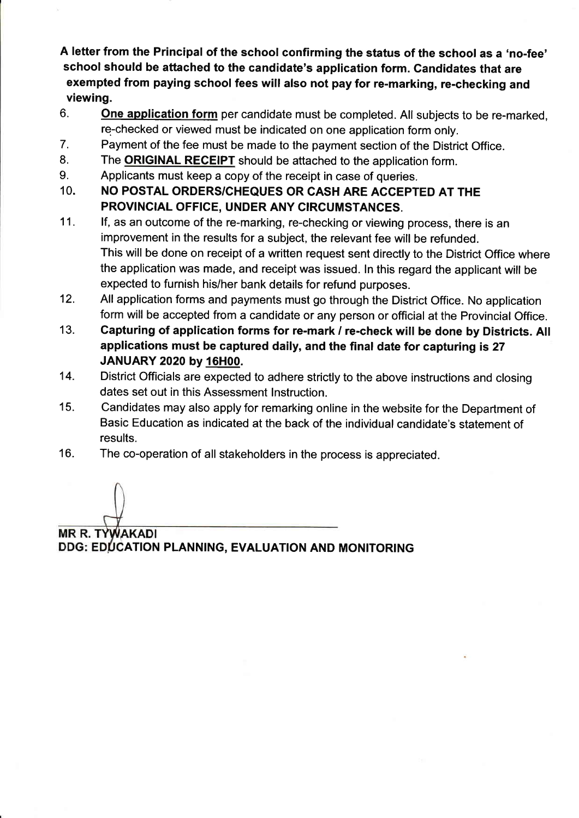A letter from the Principal of the school confirming the status of the school as a 'no-fee' school should be attached to the candidate's application form. Candidates that are exempted from paying school fees will also not pay for re-marking, re-checking and viewing.

- 6. One application form per candidate must be completed. All subjects to be re-marked, re-checked or viewed must be indicated on one application form only.
- 7. Payment of the fee must be made to the payment section of the District Office.
- 8. The **ORIGINAL RECEIPT** should be attached to the application form.
- 9. Applicants must keep a copy of the receipt in case of queries.
- 10. NO POSTAL ORDERS/CHEQUES OR CASH ARE ACCEPTED AT THE PROVINCIAL OFFICE, UNDER ANY CIRCUMSTANCES.
- lf, as an outcome of the re-marking, re-checking or viewing process, there is an improvement in the results for a subject, the relevant fee wil! be refunded. This will be done on receipt of a written request sent directly to the District Office where the application was made, and receipt was issued. ln this regard the applicant will be expected to furnish his/her bank details for refund purposes. 11.
- All application forms and payments must go through the District Office. No application form will be accepted from a candidate or any person or official at the Provincial Office. 12.
- Capturing of application forms for re-mark / re-check will be done by Districts. All applications must be captured daily, and the final date for capturing is 27 JANUARY 2020 by 16H00. 13.
- District Officials are expected to adhere strictly to the above instructions and closing dates set out in this Assessment lnstruction. 14.
- Candidates may also apply for remarking online in the website for the Department of Basic Education as indicated at the back of the individual candidate's statement of results. 15.
- The co-operation of all stakeholders in the process is appreciated. 16.

MR R. TY **WAKADI** DDG: EDUCATION PLANNING, EVALUATION AND MONITORING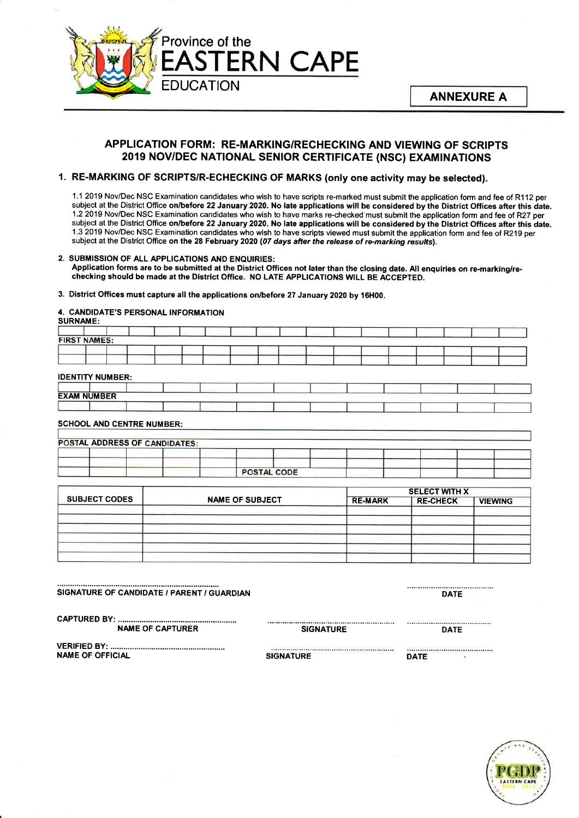

## APPLICATION FORM: RE.MARKING/RECHECKING AND VIEWING OF SCRIPTS 2019 NOV/DEC NATIONAL SENIOR CERTIFICATE (NSC) EXAMINATIONS

## 1. RE-MARKING OF SCRIPTS/R-ECHECKING OF MARKS (only one activity may be selected).

<sup>1</sup>.1 2019 Nov/Dec NSC Examination candidates who wish to have scripts re-marked must submit the application form and fee of Rl 12 per subject at the District Office on/before 22 January 2020. No late applications will be considered by the District Offices after this date. 1.2 2019 Nov/Dec NSC Examination candidates who wish to have marks re-checked'must submit the application form and fee of R27 per subject at the District Office on/before 22 January 2020. No late applications will be considered by the District Offices after this date. <sup>1</sup>.3 2019 Nov/Dec NSC Examination candidates who wish to have scripts viewed must submit the application form and fee of R219 per subject at the District Office on the 28 February 2020 (07 days after the release of re-marking results).

### 2. SUBMISSION OF ALL APPLICATIONS AND ENQUIRIES:

Application forms are to be submitted at the District Offices not later than the closing date. All enquiries on re-marking/rechecking should be made at the District Office. NO LATE APPLICATIONS WILL BE ACCEPTED.

### 3. District Offices must capture all the applications on/before 27 January 2020 by 16H00.

#### 4. CANDIDATE'S PERSONAL INFORMATION SURNAME:

| <b>SURINAME.</b> |                                  |                               |                    |  |  |  |
|------------------|----------------------------------|-------------------------------|--------------------|--|--|--|
|                  |                                  |                               |                    |  |  |  |
|                  | <b>FIRST NAMES:</b>              |                               |                    |  |  |  |
|                  |                                  |                               |                    |  |  |  |
|                  |                                  |                               |                    |  |  |  |
|                  |                                  |                               |                    |  |  |  |
|                  | <b>IDENTITY NUMBER:</b>          |                               |                    |  |  |  |
|                  |                                  |                               |                    |  |  |  |
|                  |                                  |                               |                    |  |  |  |
|                  | <b>EXAM NUMBER</b>               |                               |                    |  |  |  |
|                  |                                  |                               |                    |  |  |  |
|                  |                                  |                               |                    |  |  |  |
|                  | <b>SCHOOL AND CENTRE NUMBER:</b> |                               |                    |  |  |  |
|                  |                                  |                               |                    |  |  |  |
|                  |                                  | POSTAL ADDRESS OF CANDIDATES: |                    |  |  |  |
|                  |                                  |                               |                    |  |  |  |
|                  |                                  |                               |                    |  |  |  |
|                  |                                  |                               |                    |  |  |  |
|                  |                                  |                               | <b>POSTAL CODE</b> |  |  |  |

|                      |                        | <b>SELECT WITH X</b> |                 |                |  |  |  |
|----------------------|------------------------|----------------------|-----------------|----------------|--|--|--|
| <b>SUBJECT CODES</b> | <b>NAME OF SUBJECT</b> | <b>RE-MARK</b>       | <b>RE-CHECK</b> | <b>VIEWING</b> |  |  |  |
|                      |                        |                      |                 |                |  |  |  |
|                      |                        |                      |                 |                |  |  |  |
|                      |                        |                      |                 |                |  |  |  |
|                      |                        |                      |                 |                |  |  |  |
|                      |                        |                      |                 |                |  |  |  |

# 6Hffiil# i;ilil66ffi .ii,;;ilii'i'G iran o rm

................ ............... DATE

....................................

CAPTURED BY: ................ NAME OF CAPTURER

............... SIGNATURE DATE

VERIFIED BY: ................ NAME OF OFFICIAL

SIGNATURE DATE

......................................